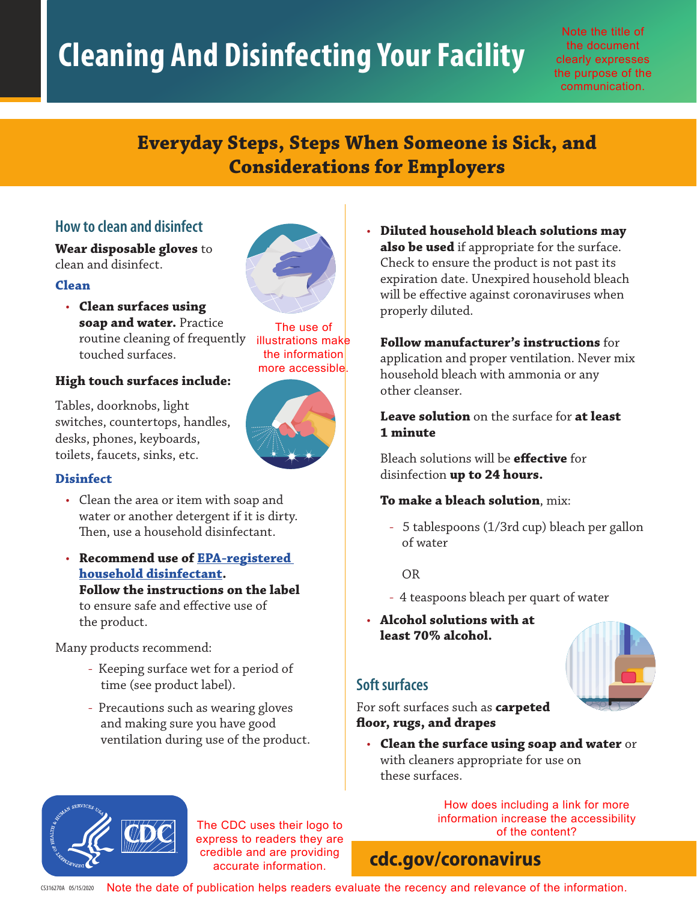# **Cleaning And Disinfecting Your Facility**

Note the title of the document clearly expresses the purpose of the communication.

# **Everyday Steps, Steps When Someone is Sick, and Considerations for Employers**

# **How to clean and disinfect**

**Wear disposable gloves** to clean and disinfect.

#### **Clean**

• **Clean surfaces using soap and water.** Practice routine cleaning of frequently touched surfaces.

#### **High touch surfaces include:**

Tables, doorknobs, light switches, countertops, handles, desks, phones, keyboards, toilets, faucets, sinks, etc.



### **Disinfect**

- Clean the area or item with soap and water or another detergent if it is dirty. Then, use a household disinfectant.
- **Recommend use of [EPA-registered](https://www.epa.gov/pesticide-registration/list-n-disinfectants-use-against-sars-cov-2) [household disinfectant](https://www.epa.gov/pesticide-registration/list-n-disinfectants-use-against-sars-cov-2). Follow the instructions on the label** to ensure safe and effective use of the product.

Many products recommend:

- Keeping surface wet for a period of time (see product label).
- Precautions such as wearing gloves and making sure you have good ventilation during use of the product.

• **Diluted household bleach solutions may also be used** if appropriate for the surface. Check to ensure the product is not past its expiration date. Unexpired household bleach will be effective against coronaviruses when properly diluted.

#### **Follow manufacturer's instructions** for

application and proper ventilation. Never mix household bleach with ammonia or any other cleanser.

**Leave solution** on the surface for **at least 1 minute**

Bleach solutions will be **effective** for disinfection **up to 24 hours.**

#### **To make a bleach solution**, mix:

- 5 tablespoons (1/3rd cup) bleach per gallon of water

OR

- 4 teaspoons bleach per quart of water
- **Alcohol solutions with at least 70% alcohol.**



# **Soft surfaces**

For soft surfaces such as **carpeted floor, rugs, and drapes**

• **Clean the surface using soap and water** or with cleaners appropriate for use on these surfaces.

> How does including a link for more information increase the accessibility of the content?

# **[cdc.gov/coronavirus](http://www.cdc.gov/coronavirus)**

The CDC uses their logo to express to readers they are credible and are providing accurate information.

 $\sigma$ 3316270A 05/15/2020 Note the date of publication helps readers evaluate the recency and relevance of the information.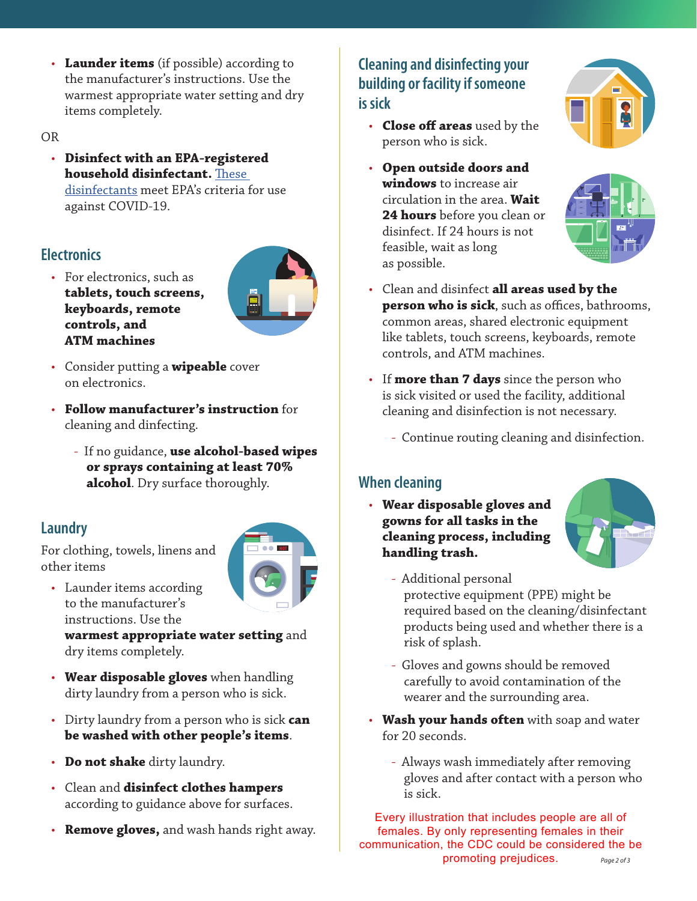• **Launder items** (if possible) according to the manufacturer's instructions. Use the warmest appropriate water setting and dry items completely.

OR

• **Disinfect with an EPA-registered household disinfectant.** [These](https://www.epa.gov/pesticide-registration/list-n-disinfectants-use-against-sars-cov-2) [disinfectants](https://www.epa.gov/pesticide-registration/list-n-disinfectants-use-against-sars-cov-2) meet EPA's criteria for use against COVID-19.

# **Electronics**

- For electronics, such as **tablets, touch screens, keyboards, remote controls, and ATM machines**
- Consider putting a **wipeable** cover on electronics.
- **Follow manufacturer's instruction** for cleaning and dinfecting.
	- If no guidance, **use alcohol-based wipes or sprays containing at least 70% alcohol**. Dry surface thoroughly.

# **Laundry**

For clothing, towels, linens and other items



• Launder items according to the manufacturer's instructions. Use the

**warmest appropriate water setting** and dry items completely.

- **Wear disposable gloves** when handling dirty laundry from a person who is sick.
- Dirty laundry from a person who is sick **can be washed with other people's items**.
- **Do not shake** dirty laundry.
- Clean and **disinfect clothes hampers** according to guidance above for surfaces.
- **Remove gloves,** and wash hands right away.

# **Cleaning and disinfecting your building or facility if someone is sick**

- **Close off areas** used by the person who is sick.
- **Open outside doors and windows** to increase air circulation in the area. **Wait 24 hours** before you clean or disinfect. If 24 hours is not feasible, wait as long as possible.





- Clean and disinfect **all areas used by the person who is sick**, such as offices, bathrooms, common areas, shared electronic equipment like tablets, touch screens, keyboards, remote controls, and ATM machines.
- If **more than 7 days** since the person who is sick visited or used the facility, additional cleaning and disinfection is not necessary.
	- Continue routing cleaning and disinfection.

# **When cleaning**

• **Wear disposable gloves and gowns for all tasks in the cleaning process, including handling trash.**



- Additional personal protective equipment (PPE) might be required based on the cleaning/disinfectant products being used and whether there is a risk of splash.
- Gloves and gowns should be removed carefully to avoid contamination of the wearer and the surrounding area.
- **Wash your hands often** with soap and water for 20 seconds.
	- Always wash immediately after removing gloves and after contact with a person who is sick.

*Page 2 of 3* Every illustration that includes people are all of females. By only representing females in their communication, the CDC could be considered the be promoting prejudices.